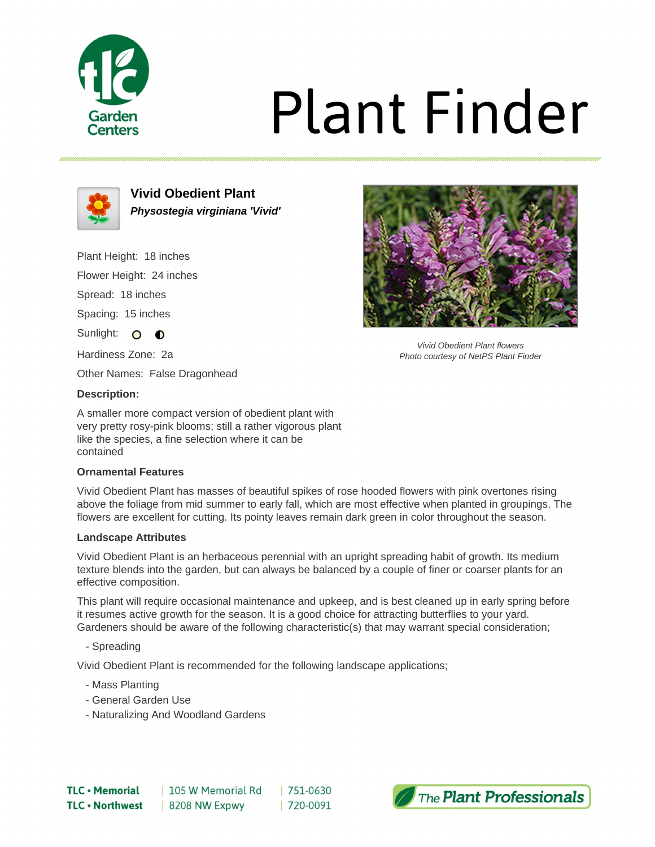

# **Plant Finder**



**Vivid Obedient Plant Physostegia virginiana 'Vivid'**

Plant Height: 18 inches

Flower Height: 24 inches

Spread: 18 inches

Spacing: 15 inches

Sunlight: O **O** 

Hardiness Zone: 2a

Other Names: False Dragonhead

### **Description:**

A smaller more compact version of obedient plant with very pretty rosy-pink blooms; still a rather vigorous plant like the species, a fine selection where it can be contained

### **Ornamental Features**

Vivid Obedient Plant has masses of beautiful spikes of rose hooded flowers with pink overtones rising above the foliage from mid summer to early fall, which are most effective when planted in groupings. The flowers are excellent for cutting. Its pointy leaves remain dark green in color throughout the season.

### **Landscape Attributes**

Vivid Obedient Plant is an herbaceous perennial with an upright spreading habit of growth. Its medium texture blends into the garden, but can always be balanced by a couple of finer or coarser plants for an effective composition.

This plant will require occasional maintenance and upkeep, and is best cleaned up in early spring before it resumes active growth for the season. It is a good choice for attracting butterflies to your yard. Gardeners should be aware of the following characteristic(s) that may warrant special consideration;

- Spreading

Vivid Obedient Plant is recommended for the following landscape applications;

- Mass Planting
- General Garden Use
- Naturalizing And Woodland Gardens



Vivid Obedient Plant flowers Photo courtesy of NetPS Plant Finder